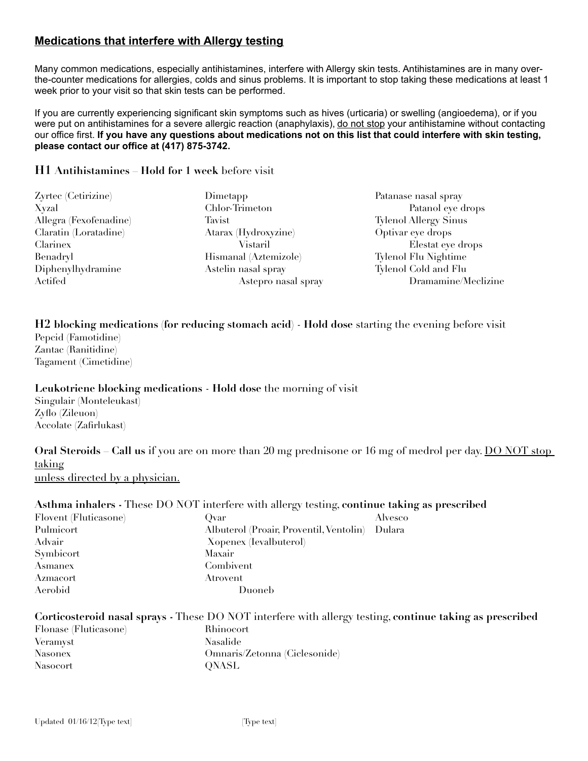# **Medications that interfere with Allergy testing**

Many common medications, especially antihistamines, interfere with Allergy skin tests. Antihistamines are in many overthe-counter medications for allergies, colds and sinus problems. It is important to stop taking these medications at least 1 week prior to your visit so that skin tests can be performed.

If you are currently experiencing significant skin symptoms such as hives (urticaria) or swelling (angioedema), or if you were put on antihistamines for a severe allergic reaction (anaphylaxis), do not stop your antihistamine without contacting our office first. **If you have any questions about medications not on this list that could interfere with skin testing, please contact our office at (417) 875-3742.**

### **H1 Antihistamines** – **Hold for 1 week** before visit

| Zyrtec (Cetirizine)    | Dimetapp              | Patanase nasal spray         |
|------------------------|-----------------------|------------------------------|
| Xyzal                  | Chlor-Trimeton        | Patanol eye drops            |
| Allegra (Fexofenadine) | Tavist                | <b>Tylenol Allergy Sinus</b> |
| Claratin (Loratadine)  | Atarax (Hydroxyzine)  | Optivar eye drops            |
| Clarinex               | Vistaril              | Elestat eye drops            |
| Benadryl               | Hismanal (Aztemizole) | Tylenol Flu Nightime         |
| Diphenylhydramine      | Astelin nasal spray   | Tylenol Cold and Flu         |
| Actifed                | Astepro nasal spray   | Dramamine/Meclizine          |
|                        |                       |                              |

**H2 blocking medications (for reducing stomach acid)** - **Hold dose** starting the evening before visit Pepcid (Famotidine)

Zantac (Ranitidine) Tagament (Cimetidine)

#### **Leukotriene blocking medications** - **Hold dose** the morning of visit

Singulair (Monteleukast) Zyfo (Zileuon) Accolate (Zafrlukast)

**Oral Steroids – Call us** if you are on more than 20 mg prednisone or 16 mg of medrol per day. DO NOT stop taking unless directed by a physician.

**Asthma inhalers -** These DO NOT interfere with allergy testing, **continue taking as prescribed**

| Flovent (Fluticasone) | $\mathbf{1}$<br>.<br>Ovar               | Alvesco |
|-----------------------|-----------------------------------------|---------|
| Pulmicort             | Albuterol (Proair, Proventil, Ventolin) | Dulara  |
| Advair                | Xopenex (Ievalbuterol)                  |         |
| Symbicort             | Maxair                                  |         |
| Asmanex               | Combivent                               |         |
| Azmacort              | Atrovent                                |         |
| Aerobid               | Duoneb                                  |         |

### **Corticosteroid nasal sprays -** These DO NOT interfere with allergy testing, **continue taking as prescribed** Flonase (Fluticasone) Rhinocort Veramyst Nasalide Nasonex Omnaris/Zetonna (Ciclesonide) Nasocort QNASL